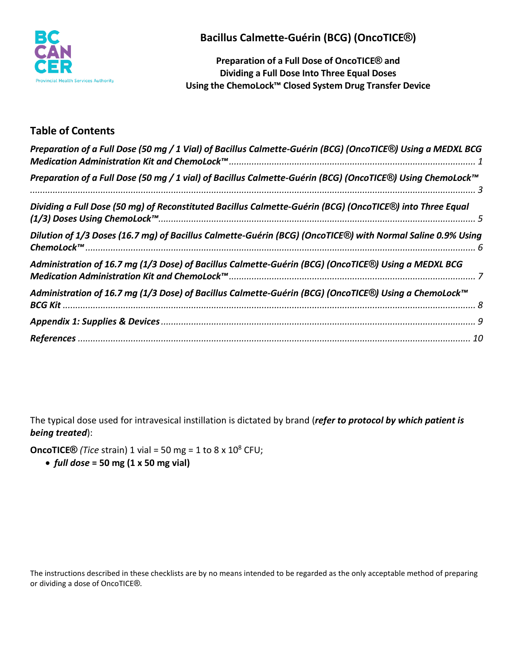

**Bacillus Calmette-Guérin (BCG) (OncoTICE®)**

**Preparation of a Full Dose of OncoTICE® and Dividing a Full Dose Into Three Equal Doses Using the ChemoLock™ Closed System Drug Transfer Device**

# **Table of Contents**

| Preparation of a Full Dose (50 mg / 1 Vial) of Bacillus Calmette-Guérin (BCG) (OncoTICE®) Using a MEDXL BCG |  |
|-------------------------------------------------------------------------------------------------------------|--|
| Preparation of a Full Dose (50 mg / 1 vial) of Bacillus Calmette-Guérin (BCG) (OncoTICE®) Using ChemoLock™  |  |
| Dividing a Full Dose (50 mg) of Reconstituted Bacillus Calmette-Guérin (BCG) (OncoTICE®) into Three Equal   |  |
| Dilution of 1/3 Doses (16.7 mg) of Bacillus Calmette-Guérin (BCG) (OncoTICE®) with Normal Saline 0.9% Using |  |
| Administration of 16.7 mg (1/3 Dose) of Bacillus Calmette-Guérin (BCG) (OncoTICE®) Using a MEDXL BCG        |  |
| Administration of 16.7 mg (1/3 Dose) of Bacillus Calmette-Guérin (BCG) (OncoTICE®) Using a ChemoLock™       |  |
|                                                                                                             |  |
|                                                                                                             |  |

The typical dose used for intravesical instillation is dictated by brand (*refer to protocol by which patient is being treated*):

**OncoTICE**<sup>®</sup> *(Tice* strain) 1 vial = 50 mg = 1 to 8 x 10<sup>8</sup> CFU;

• *full dose* **= 50 mg (1 x 50 mg vial)**

The instructions described in these checklists are by no means intended to be regarded as the only acceptable method of preparing or dividing a dose of OncoTICE®.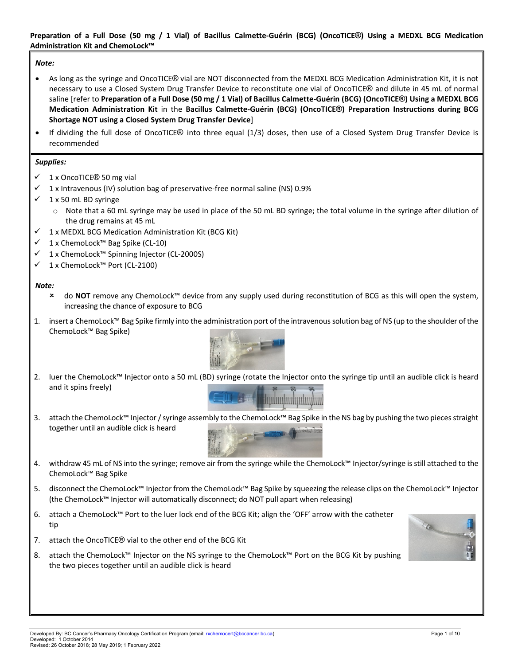#### <span id="page-1-0"></span>**Preparation of a Full Dose (50 mg / 1 Vial) of Bacillus Calmette-Guérin (BCG) (OncoTICE®) Using a MEDXL BCG Medication Administration Kit and ChemoLock™**

#### *Note:*

- As long as the syringe and OncoTICE® vial are NOT disconnected from the MEDXL BCG Medication Administration Kit, it is not necessary to use a Closed System Drug Transfer Device to reconstitute one vial of OncoTICE® and dilute in 45 mL of normal saline [refer to **Preparation of a Full Dose (50 mg / 1 Vial) of Bacillus Calmette-Guérin (BCG) (OncoTICE®) Using a MEDXL BCG Medication Administration Kit** in the **Bacillus Calmette-Guérin (BCG) (OncoTICE®) Preparation Instructions during BCG Shortage NOT using a Closed System Drug Transfer Device**]
- If dividing the full dose of OncoTICE® into three equal (1/3) doses, then use of a Closed System Drug Transfer Device is recommended

#### *Supplies:*

- $\checkmark$  1 x OncoTICE<sup>®</sup> 50 mg vial
- 1 x Intravenous (IV) solution bag of preservative-free normal saline (NS) 0.9%
- $\checkmark$  1 x 50 mL BD syringe
	- $\circ$  Note that a 60 mL syringe may be used in place of the 50 mL BD syringe; the total volume in the syringe after dilution of the drug remains at 45 mL
- $\checkmark$  1 x MEDXL BCG Medication Administration Kit (BCG Kit)
- 1 x ChemoLock™ Bag Spike (CL-10)
- 1 x ChemoLock™ Spinning Injector (CL-2000S)
- 1 x ChemoLock™ Port (CL-2100)

#### *Note:*

- do **NOT** remove any ChemoLock™ device from any supply used during reconstitution of BCG as this will open the system, increasing the chance of exposure to BCG
- 1. insert a ChemoLock™ Bag Spike firmly into the administration port of the intravenous solution bag of NS (up to the shoulder of the ChemoLock™ Bag Spike)



2. luer the ChemoLock™ Injector onto a 50 mL (BD) syringe (rotate the Injector onto the syringe tip until an audible click is heard and it spins freely)



3. attach the ChemoLock™ Injector / syringe assembly to the ChemoLock™ Bag Spike in the NS bag by pushing the two pieces straight together until an audible click is heard



- 4. withdraw 45 mL of NS into the syringe; remove air from the syringe while the ChemoLock™ Injector/syringe is still attached to the ChemoLock™ Bag Spike
- 5. disconnect the ChemoLock™ Injector from the ChemoLock™ Bag Spike by squeezing the release clips on the ChemoLock™ Injector (the ChemoLock™ Injector will automatically disconnect; do NOT pull apart when releasing)
- 6. attach a ChemoLock™ Port to the luer lock end of the BCG Kit; align the 'OFF' arrow with the catheter tip
- 7. attach the OncoTICE® vial to the other end of the BCG Kit
- 8. attach the ChemoLock™ Injector on the NS syringe to the ChemoLock™ Port on the BCG Kit by pushing the two pieces together until an audible click is heard

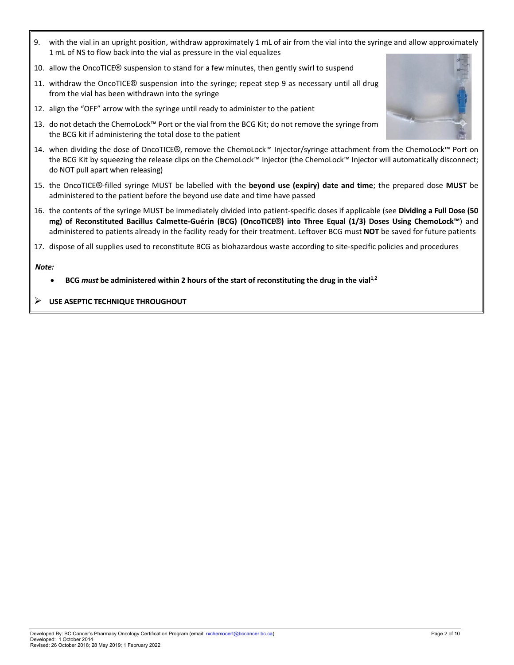- 9. with the vial in an upright position, withdraw approximately 1 mL of air from the vial into the syringe and allow approximately 1 mL of NS to flow back into the vial as pressure in the vial equalizes
- 10. allow the OncoTICE® suspension to stand for a few minutes, then gently swirl to suspend
- 11. withdraw the OncoTICE® suspension into the syringe; repeat step 9 as necessary until all drug from the vial has been withdrawn into the syringe
- 12. align the "OFF" arrow with the syringe until ready to administer to the patient
- 13. do not detach the ChemoLock™ Port or the vial from the BCG Kit; do not remove the syringe from the BCG kit if administering the total dose to the patient
- 14. when dividing the dose of OncoTICE®, remove the ChemoLock™ Injector/syringe attachment from the ChemoLock™ Port on the BCG Kit by squeezing the release clips on the ChemoLock™ Injector (the ChemoLock™ Injector will automatically disconnect; do NOT pull apart when releasing)
- 15. the OncoTICE®-filled syringe MUST be labelled with the **beyond use (expiry) date and time**; the prepared dose **MUST** be administered to the patient before the beyond use date and time have passed
- 16. the contents of the syringe MUST be immediately divided into patient-specific doses if applicable (see **Dividing a Full Dose (50 mg) of Reconstituted Bacillus Calmette-Guérin (BCG) (OncoTICE®) into Three Equal (1/3) Doses Using ChemoLock™**) and administered to patients already in the facility ready for their treatment. Leftover BCG must **NOT** be saved for future patients
- 17. dispose of all supplies used to reconstitute BCG as biohazardous waste according to site-specific policies and procedures

- **BCG** *must* **be administered within 2 hours of the start of reconstituting the drug in the vial1,2**
- **USE ASEPTIC TECHNIQUE THROUGHOUT**

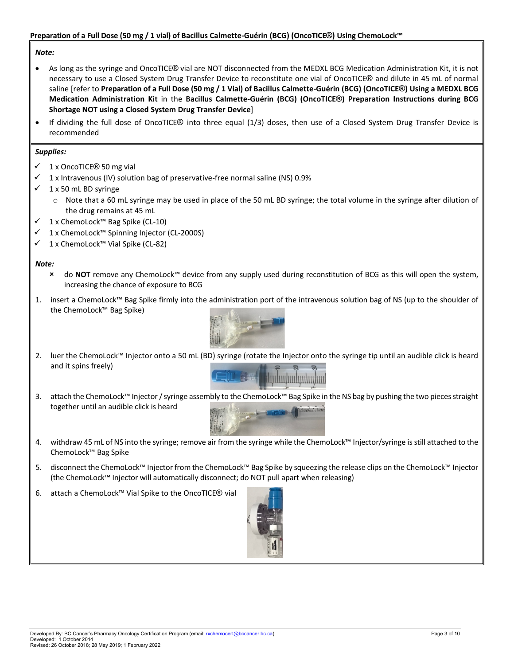#### <span id="page-3-0"></span>**Preparation of a Full Dose (50 mg / 1 vial) of Bacillus Calmette-Guérin (BCG) (OncoTICE®) Using ChemoLock™**

#### *Note:*

- As long as the syringe and OncoTICE® vial are NOT disconnected from the MEDXL BCG Medication Administration Kit, it is not necessary to use a Closed System Drug Transfer Device to reconstitute one vial of OncoTICE® and dilute in 45 mL of normal saline [refer to **Preparation of a Full Dose (50 mg / 1 Vial) of Bacillus Calmette-Guérin (BCG) (OncoTICE®) Using a MEDXL BCG Medication Administration Kit** in the **Bacillus Calmette-Guérin (BCG) (OncoTICE®) Preparation Instructions during BCG Shortage NOT using a Closed System Drug Transfer Device**]
- If dividing the full dose of OncoTICE® into three equal (1/3) doses, then use of a Closed System Drug Transfer Device is recommended

#### *Supplies:*

- 1 x OncoTICE® 50 mg vial
- 1 x Intravenous (IV) solution bag of preservative-free normal saline (NS) 0.9%
- $\checkmark$  1 x 50 mL BD syringe
	- o Note that a 60 mL syringe may be used in place of the 50 mL BD syringe; the total volume in the syringe after dilution of the drug remains at 45 mL
- 1 x ChemoLock™ Bag Spike (CL-10)
- 1 x ChemoLock™ Spinning Injector (CL-2000S)
- 1 x ChemoLock™ Vial Spike (CL-82)

#### *Note:*

- do **NOT** remove any ChemoLock™ device from any supply used during reconstitution of BCG as this will open the system, increasing the chance of exposure to BCG
- 1. insert a ChemoLock™ Bag Spike firmly into the administration port of the intravenous solution bag of NS (up to the shoulder of the ChemoLock™ Bag Spike)



2. luer the ChemoLock™ Injector onto a 50 mL (BD) syringe (rotate the Injector onto the syringe tip until an audible click is heard and it spins freely)



3. attach the ChemoLock™ Injector / syringe assembly to the ChemoLock™ Bag Spike in the NS bag by pushing the two pieces straight together until an audible click is heard



- 4. withdraw 45 mL of NS into the syringe; remove air from the syringe while the ChemoLock™ Injector/syringe is still attached to the ChemoLock™ Bag Spike
- 5. disconnect the ChemoLock™ Injector from the ChemoLock™ Bag Spike by squeezing the release clips on the ChemoLock™ Injector (the ChemoLock™ Injector will automatically disconnect; do NOT pull apart when releasing)
- 6. attach a ChemoLock™ Vial Spike to the OncoTICE® vial

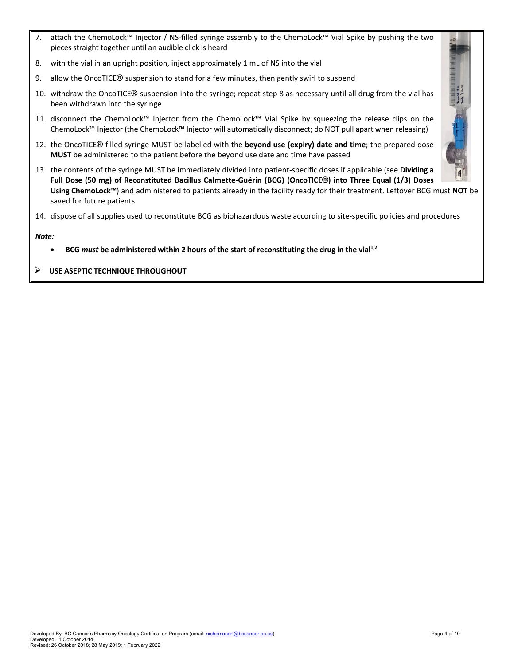- 7. attach the ChemoLock™ Injector / NS-filled syringe assembly to the ChemoLock™ Vial Spike by pushing the two pieces straight together until an audible click is heard
- 8. with the vial in an upright position, inject approximately 1 mL of NS into the vial
- 9. allow the OncoTICE® suspension to stand for a few minutes, then gently swirl to suspend
- 10. withdraw the OncoTICE® suspension into the syringe; repeat step 8 as necessary until all drug from the vial has been withdrawn into the syringe
- 11. disconnect the ChemoLock™ Injector from the ChemoLock™ Vial Spike by squeezing the release clips on the ChemoLock™ Injector (the ChemoLock™ Injector will automatically disconnect; do NOT pull apart when releasing)
- 12. the OncoTICE®-filled syringe MUST be labelled with the **beyond use (expiry) date and time**; the prepared dose **MUST** be administered to the patient before the beyond use date and time have passed
- 13. the contents of the syringe MUST be immediately divided into patient-specific doses if applicable (see **Dividing a**   $\Vert \mathbf{H} \Vert$ **Full Dose (50 mg) of Reconstituted Bacillus Calmette-Guérin (BCG) (OncoTICE®) into Three Equal (1/3) Doses Using ChemoLock™**) and administered to patients already in the facility ready for their treatment. Leftover BCG must **NOT** be saved for future patients
- 14. dispose of all supplies used to reconstitute BCG as biohazardous waste according to site-specific policies and procedures

#### *Note:*

• **BCG** *must* **be administered within 2 hours of the start of reconstituting the drug in the vial1,2**

## **USE ASEPTIC TECHNIQUE THROUGHOUT**

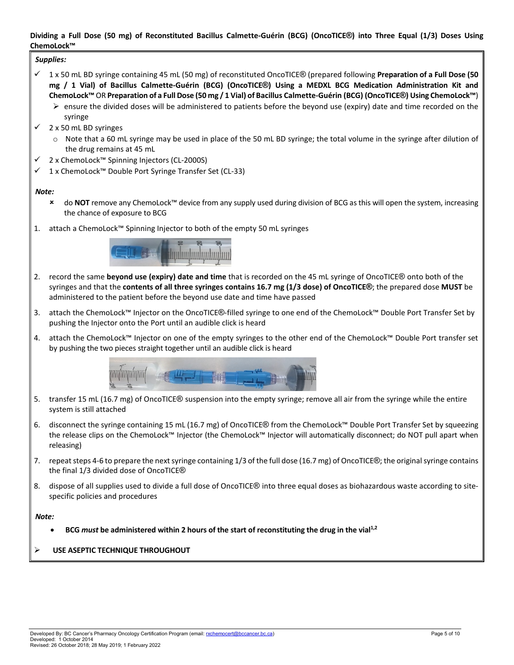## <span id="page-5-0"></span>**Dividing a Full Dose (50 mg) of Reconstituted Bacillus Calmette-Guérin (BCG) (OncoTICE®) into Three Equal (1/3) Doses Using ChemoLock™**

#### *Supplies:*

- 1 x 50 mL BD syringe containing 45 mL (50 mg) of reconstituted OncoTICE® (prepared following **Preparation of a Full Dose (50 mg / 1 Vial) of Bacillus Calmette-Guérin (BCG) (OncoTICE®) Using a MEDXL BCG Medication Administration Kit and ChemoLock™** OR **Preparation of a Full Dose (50 mg / 1 Vial) of Bacillus Calmette-Guérin (BCG) (OncoTICE®) Using ChemoLock™**)
	- $\triangleright$  ensure the divided doses will be administered to patients before the beyond use (expiry) date and time recorded on the syringe
- 2 x 50 mL BD syringes
	- $\circ$  Note that a 60 mL syringe may be used in place of the 50 mL BD syringe; the total volume in the syringe after dilution of the drug remains at 45 mL
- 2 x ChemoLock™ Spinning Injectors (CL-2000S)
- 1 x ChemoLock™ Double Port Syringe Transfer Set (CL-33)

#### *Note:*

- do **NOT** remove any ChemoLock™ device from any supply used during division of BCG as this will open the system, increasing the chance of exposure to BCG
- 1. attach a ChemoLock™ Spinning Injector to both of the empty 50 mL syringes



- 2. record the same **beyond use (expiry) date and time** that is recorded on the 45 mL syringe of OncoTICE® onto both of the syringes and that the **contents of all three syringes contains 16.7 mg (1/3 dose) of OncoTICE®**; the prepared dose **MUST** be administered to the patient before the beyond use date and time have passed
- 3. attach the ChemoLock™ Injector on the OncoTICE®-filled syringe to one end of the ChemoLock™ Double Port Transfer Set by pushing the Injector onto the Port until an audible click is heard
- 4. attach the ChemoLock™ Injector on one of the empty syringes to the other end of the ChemoLock™ Double Port transfer set by pushing the two pieces straight together until an audible click is heard



- 5. transfer 15 mL (16.7 mg) of OncoTICE® suspension into the empty syringe; remove all air from the syringe while the entire system is still attached
- 6. disconnect the syringe containing 15 mL (16.7 mg) of OncoTICE® from the ChemoLock™ Double Port Transfer Set by squeezing the release clips on the ChemoLock™ Injector (the ChemoLock™ Injector will automatically disconnect; do NOT pull apart when releasing)
- 7. repeat steps 4-6 to prepare the next syringe containing 1/3 of the full dose (16.7 mg) of OncoTICE®; the original syringe contains the final 1/3 divided dose of OncoTICE®
- 8. dispose of all supplies used to divide a full dose of OncoTICE® into three equal doses as biohazardous waste according to sitespecific policies and procedures

#### *Note:*

• **BCG** *must* **be administered within 2 hours of the start of reconstituting the drug in the vial1,2**

## **USE ASEPTIC TECHNIQUE THROUGHOUT**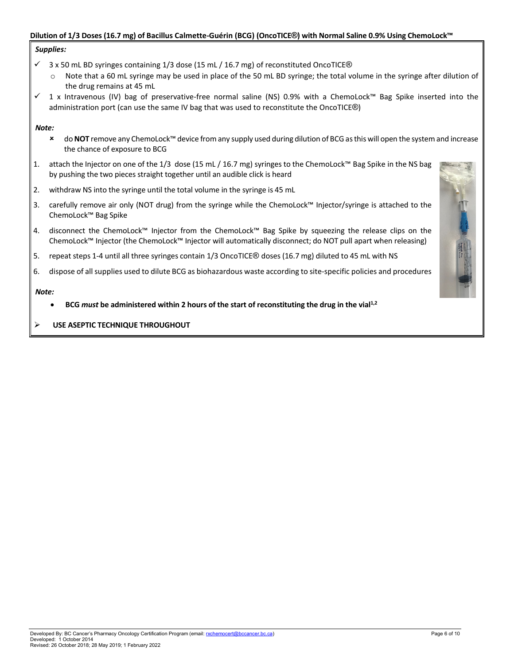## <span id="page-6-0"></span>**Dilution of 1/3 Doses (16.7 mg) of Bacillus Calmette-Guérin (BCG) (OncoTICE®) with Normal Saline 0.9% Using ChemoLock™**

#### *Supplies:*

- $\checkmark$  3 x 50 mL BD syringes containing 1/3 dose (15 mL / 16.7 mg) of reconstituted OncoTICE®
	- $\circ$  Note that a 60 mL syringe may be used in place of the 50 mL BD syringe; the total volume in the syringe after dilution of the drug remains at 45 mL
- 1 x Intravenous (IV) bag of preservative-free normal saline (NS) 0.9% with a ChemoLock™ Bag Spike inserted into the administration port (can use the same IV bag that was used to reconstitute the OncoTICE®)

#### *Note:*

- do **NOT** remove any ChemoLock™ device from any supply used during dilution of BCG as this will open the system and increase the chance of exposure to BCG
- 1. attach the Injector on one of the 1/3 dose (15 mL / 16.7 mg) syringes to the ChemoLock™ Bag Spike in the NS bag by pushing the two pieces straight together until an audible click is heard
- 2. withdraw NS into the syringe until the total volume in the syringe is 45 mL
- 3. carefully remove air only (NOT drug) from the syringe while the ChemoLock™ Injector/syringe is attached to the ChemoLock™ Bag Spike
- 4. disconnect the ChemoLock™ Injector from the ChemoLock™ Bag Spike by squeezing the release clips on the ChemoLock™ Injector (the ChemoLock™ Injector will automatically disconnect; do NOT pull apart when releasing)
- 5. repeat steps 1-4 until all three syringes contain 1/3 OncoTICE® doses (16.7 mg) diluted to 45 mL with NS
- 6. dispose of all supplies used to dilute BCG as biohazardous waste according to site-specific policies and procedures

- **BCG** *must* **be administered within 2 hours of the start of reconstituting the drug in the vial1,2**
- **USE ASEPTIC TECHNIQUE THROUGHOUT**

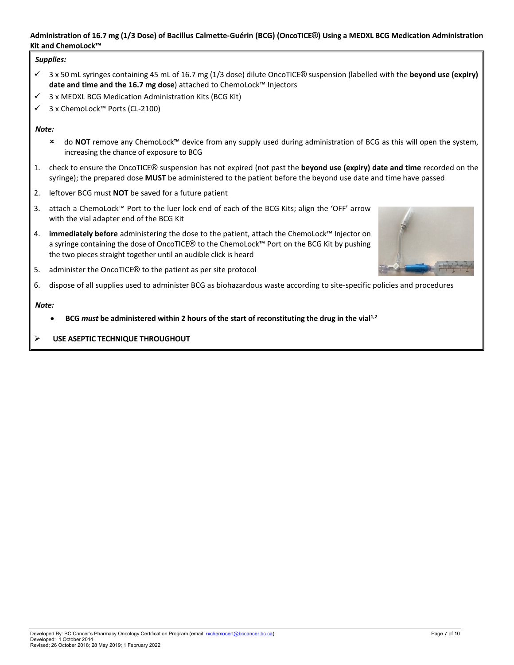#### <span id="page-7-0"></span>**Administration of 16.7 mg (1/3 Dose) of Bacillus Calmette-Guérin (BCG) (OncoTICE®) Using a MEDXL BCG Medication Administration Kit and ChemoLock™**

## *Supplies:*

- 3 x 50 mL syringes containing 45 mL of 16.7 mg (1/3 dose) dilute OncoTICE® suspension (labelled with the **beyond use (expiry) date and time and the 16.7 mg dose**) attached to ChemoLock™ Injectors
- 3 x MEDXL BCG Medication Administration Kits (BCG Kit)
- 3 x ChemoLock™ Ports (CL-2100)

## *Note:*

- do **NOT** remove any ChemoLock™ device from any supply used during administration of BCG as this will open the system, increasing the chance of exposure to BCG
- 1. check to ensure the OncoTICE® suspension has not expired (not past the **beyond use (expiry) date and time** recorded on the syringe); the prepared dose **MUST** be administered to the patient before the beyond use date and time have passed
- 2. leftover BCG must **NOT** be saved for a future patient
- 3. attach a ChemoLock™ Port to the luer lock end of each of the BCG Kits; align the 'OFF' arrow with the vial adapter end of the BCG Kit
- 4. **immediately before** administering the dose to the patient, attach the ChemoLock™ Injector on a syringe containing the dose of OncoTICE® to the ChemoLock™ Port on the BCG Kit by pushing the two pieces straight together until an audible click is heard



- 5. administer the OncoTICE® to the patient as per site protocol
- 6. dispose of all supplies used to administer BCG as biohazardous waste according to site-specific policies and procedures

- **BCG** *must* **be administered within 2 hours of the start of reconstituting the drug in the vial1,2**
- **USE ASEPTIC TECHNIQUE THROUGHOUT**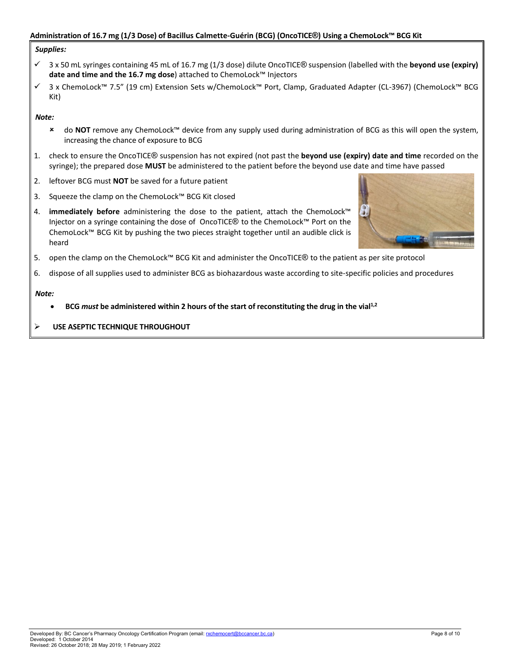#### <span id="page-8-0"></span>**Administration of 16.7 mg (1/3 Dose) of Bacillus Calmette-Guérin (BCG) (OncoTICE®) Using a ChemoLock™ BCG Kit**

#### *Supplies:*

- 3 x 50 mL syringes containing 45 mL of 16.7 mg (1/3 dose) dilute OncoTICE® suspension (labelled with the **beyond use (expiry) date and time and the 16.7 mg dose**) attached to ChemoLock™ Injectors
- 3 x ChemoLock™ 7.5" (19 cm) Extension Sets w/ChemoLock™ Port, Clamp, Graduated Adapter (CL-3967) (ChemoLock™ BCG Kit)

#### *Note:*

- do **NOT** remove any ChemoLock™ device from any supply used during administration of BCG as this will open the system, increasing the chance of exposure to BCG
- 1. check to ensure the OncoTICE® suspension has not expired (not past the **beyond use (expiry) date and time** recorded on the syringe); the prepared dose **MUST** be administered to the patient before the beyond use date and time have passed
- 2. leftover BCG must **NOT** be saved for a future patient
- 3. Squeeze the clamp on the ChemoLock™ BCG Kit closed
- 4. **immediately before** administering the dose to the patient, attach the ChemoLock™ Injector on a syringe containing the dose of OncoTICE® to the ChemoLock™ Port on the ChemoLock™ BCG Kit by pushing the two pieces straight together until an audible click is heard



- 5. open the clamp on the ChemoLock™ BCG Kit and administer the OncoTICE® to the patient as per site protocol
- 6. dispose of all supplies used to administer BCG as biohazardous waste according to site-specific policies and procedures

- **BCG** *must* **be administered within 2 hours of the start of reconstituting the drug in the vial1,2**
- **USE ASEPTIC TECHNIQUE THROUGHOUT**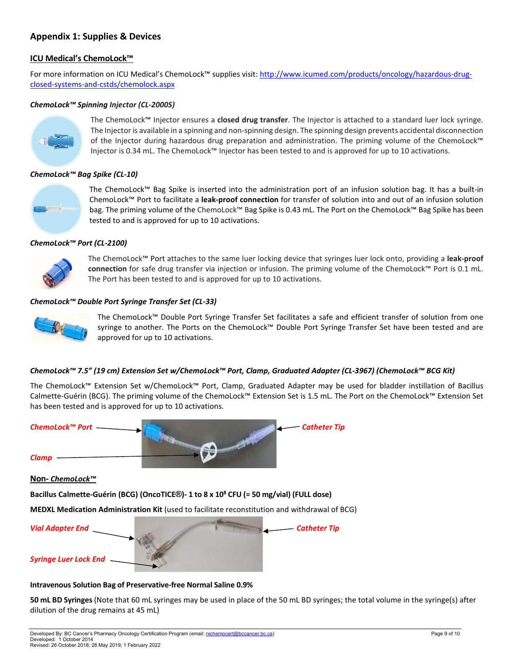## <span id="page-9-0"></span>**Appendix 1: Supplies & Devices**

## **ICU Medical's ChemoLock™**

For more information on ICU Medical's ChemoLock™ supplies visit[: http://www.icumed.com/products/oncology/hazardous-drug](http://www.icumed.com/products/oncology/hazardous-drug-closed-systems-and-cstds/chemolock.aspx)[closed-systems-and-cstds/chemolock.aspx](http://www.icumed.com/products/oncology/hazardous-drug-closed-systems-and-cstds/chemolock.aspx)

## *ChemoLock™ Spinning Injector (CL-2000S)*



The ChemoLock™ Injector ensures a **closed drug transfer**. The Injector is attached to a standard luer lock syringe. The Injector is available in a spinning and non-spinning design. The spinning design prevents accidental disconnection of the Injector during hazardous drug preparation and administration. The priming volume of the ChemoLock™ Injector is 0.34 mL. The ChemoLock™ Injector has been tested to and is approved for up to 10 activations.

## *ChemoLock™ Bag Spike (CL-10)*



The ChemoLock™ Bag Spike is inserted into the administration port of an infusion solution bag. It has a built-in ChemoLock™ Port to facilitate a **leak-proof connection** for transfer of solution into and out of an infusion solution bag. The priming volume of the ChemoLock™ Bag Spike is 0.43 mL. The Port on the ChemoLock™ Bag Spike has been tested to and is approved for up to 10 activations.

## *ChemoLock™ Port (CL-2100)*



The ChemoLock™ Port attaches to the same luer locking device that syringes luer lock onto, providing a **leak-proof connection** for safe drug transfer via injection or infusion. The priming volume of the ChemoLock™ Port is 0.1 mL. The Port has been tested to and is approved for up to 10 activations.

## *ChemoLock™ Double Port Syringe Transfer Set (CL-33)*



The ChemoLock™ Double Port Syringe Transfer Set facilitates a safe and efficient transfer of solution from one syringe to another. The Ports on the ChemoLock™ Double Port Syringe Transfer Set have been tested and are approved for up to 10 activations.

## *ChemoLock™ 7.5" (19 cm) Extension Set w/ChemoLock™ Port, Clamp, Graduated Adapter (CL-3967) (ChemoLock™ BCG Kit)*

The ChemoLock™ Extension Set w/ChemoLock™ Port, Clamp, Graduated Adapter may be used for bladder instillation of Bacillus Calmette-Guérin (BCG). The priming volume of the ChemoLock™ Extension Set is 1.5 mL. The Port on the ChemoLock™ Extension Set has been tested and is approved for up to 10 activations.





## **Intravenous Solution Bag of Preservative-free Normal Saline 0.9%**

**50 mL BD Syringes** (Note that 60 mL syringes may be used in place of the 50 mL BD syringes; the total volume in the syringe(s) after dilution of the drug remains at 45 mL)